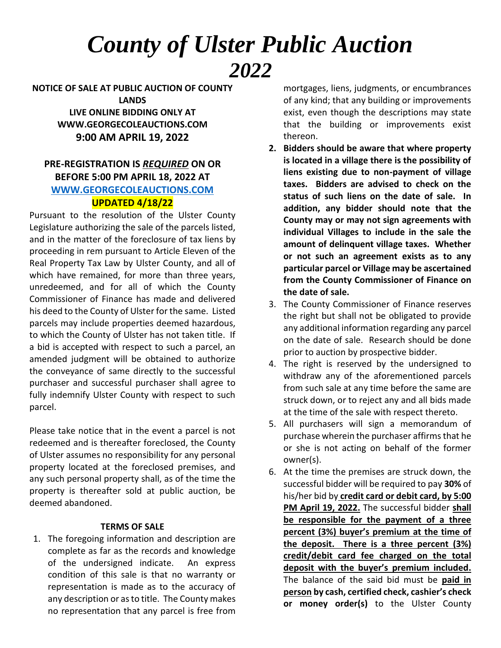## *County of Ulster Public Auction 2022*

**NOTICE OF SALE AT PUBLIC AUCTION OF COUNTY LANDS LIVE ONLINE BIDDING ONLY AT WWW.GEORGECOLEAUCTIONS.COM 9:00 AM APRIL 19, 2022**

## **PRE-REGISTRATION IS** *REQUIRED* **ON OR BEFORE 5:00 PM APRIL 18, 2022 AT [WWW.GEORGECOLEAUCTIONS.COM](http://www.georgecoleauctions.com/) UPDATED 4/18/22**

Pursuant to the resolution of the Ulster County Legislature authorizing the sale of the parcels listed, and in the matter of the foreclosure of tax liens by proceeding in rem pursuant to Article Eleven of the Real Property Tax Law by Ulster County, and all of which have remained, for more than three years, unredeemed, and for all of which the County Commissioner of Finance has made and delivered his deed to the County of Ulster for the same. Listed parcels may include properties deemed hazardous, to which the County of Ulster has not taken title. If a bid is accepted with respect to such a parcel, an amended judgment will be obtained to authorize the conveyance of same directly to the successful purchaser and successful purchaser shall agree to fully indemnify Ulster County with respect to such parcel.

Please take notice that in the event a parcel is not redeemed and is thereafter foreclosed, the County of Ulster assumes no responsibility for any personal property located at the foreclosed premises, and any such personal property shall, as of the time the property is thereafter sold at public auction, be deemed abandoned.

## **TERMS OF SALE**

1. The foregoing information and description are complete as far as the records and knowledge of the undersigned indicate. An express condition of this sale is that no warranty or representation is made as to the accuracy of any description or as to title. The County makes no representation that any parcel is free from

mortgages, liens, judgments, or encumbrances of any kind; that any building or improvements exist, even though the descriptions may state that the building or improvements exist thereon.

- **2. Bidders should be aware that where property is located in a village there is the possibility of liens existing due to non-payment of village taxes. Bidders are advised to check on the status of such liens on the date of sale. In addition, any bidder should note that the County may or may not sign agreements with individual Villages to include in the sale the amount of delinquent village taxes. Whether or not such an agreement exists as to any particular parcel or Village may be ascertained from the County Commissioner of Finance on the date of sale.**
- 3. The County Commissioner of Finance reserves the right but shall not be obligated to provide any additional information regarding any parcel on the date of sale. Research should be done prior to auction by prospective bidder.
- 4. The right is reserved by the undersigned to withdraw any of the aforementioned parcels from such sale at any time before the same are struck down, or to reject any and all bids made at the time of the sale with respect thereto.
- 5. All purchasers will sign a memorandum of purchase wherein the purchaser affirms that he or she is not acting on behalf of the former owner(s).
- 6. At the time the premises are struck down, the successful bidder will be required to pay **30%** of his/her bid by **credit card or debit card, by 5:00 PM April 19, 2022.** The successful bidder **shall be responsible for the payment of a three percent (3%) buyer's premium at the time of the deposit. There is a three percent (3%) credit/debit card fee charged on the total deposit with the buyer's premium included.** The balance of the said bid must be **paid in person by cash, certified check, cashier's check or money order(s)** to the Ulster County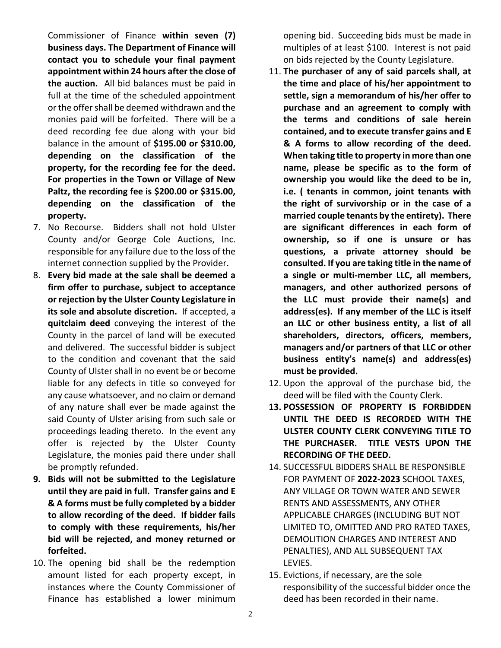Commissioner of Finance **within seven (7) business days. The Department of Finance will contact you to schedule your final payment appointment within 24 hours after the close of the auction.** All bid balances must be paid in full at the time of the scheduled appointment or the offer shall be deemed withdrawn and the monies paid will be forfeited. There will be a deed recording fee due along with your bid balance in the amount of **\$195.00 or \$310.00, depending on the classification of the property, for the recording fee for the deed. For properties in the Town or Village of New Paltz, the recording fee is \$200.00 or \$315.00, depending on the classification of the property.**

- 7. No Recourse. Bidders shall not hold Ulster County and/or George Cole Auctions, Inc. responsible for any failure due to the loss of the internet connection supplied by the Provider.
- 8. **Every bid made at the sale shall be deemed a firm offer to purchase, subject to acceptance or rejection by the Ulster County Legislature in its sole and absolute discretion.** If accepted, a **quitclaim deed** conveying the interest of the County in the parcel of land will be executed and delivered. The successful bidder is subject to the condition and covenant that the said County of Ulster shall in no event be or become liable for any defects in title so conveyed for any cause whatsoever, and no claim or demand of any nature shall ever be made against the said County of Ulster arising from such sale or proceedings leading thereto. In the event any offer is rejected by the Ulster County Legislature, the monies paid there under shall be promptly refunded.
- **9. Bids will not be submitted to the Legislature until they are paid in full. Transfer gains and E & A forms must be fully completed by a bidder to allow recording of the deed. If bidder fails to comply with these requirements, his/her bid will be rejected, and money returned or forfeited.**
- 10. The opening bid shall be the redemption amount listed for each property except, in instances where the County Commissioner of Finance has established a lower minimum

opening bid. Succeeding bids must be made in multiples of at least \$100. Interest is not paid on bids rejected by the County Legislature.

- 11. **The purchaser of any of said parcels shall, at the time and place of his/her appointment to settle, sign a memorandum of his/her offer to purchase and an agreement to comply with the terms and conditions of sale herein contained, and to execute transfer gains and E & A forms to allow recording of the deed. When taking title to property in more than one name, please be specific as to the form of ownership you would like the deed to be in, i.e. ( tenants in common, joint tenants with the right of survivorship or in the case of a married couple tenants by the entirety). There are significant differences in each form of ownership, so if one is unsure or has questions, a private attorney should be consulted. If you are taking title in the name of a single or multi-member LLC, all members, managers, and other authorized persons of the LLC must provide their name(s) and address(es). If any member of the LLC is itself an LLC or other business entity, a list of all shareholders, directors, officers, members, managers and/or partners of that LLC or other business entity's name(s) and address(es) must be provided.**
- 12. Upon the approval of the purchase bid, the deed will be filed with the County Clerk.
- **13. POSSESSION OF PROPERTY IS FORBIDDEN UNTIL THE DEED IS RECORDED WITH THE ULSTER COUNTY CLERK CONVEYING TITLE TO THE PURCHASER. TITLE VESTS UPON THE RECORDING OF THE DEED.**
- 14. SUCCESSFUL BIDDERS SHALL BE RESPONSIBLE FOR PAYMENT OF **2022-2023** SCHOOL TAXES, ANY VILLAGE OR TOWN WATER AND SEWER RENTS AND ASSESSMENTS, ANY OTHER APPLICABLE CHARGES (INCLUDING BUT NOT LIMITED TO, OMITTED AND PRO RATED TAXES, DEMOLITION CHARGES AND INTEREST AND PENALTIES), AND ALL SUBSEQUENT TAX LEVIES.
- 15. Evictions, if necessary, are the sole responsibility of the successful bidder once the deed has been recorded in their name.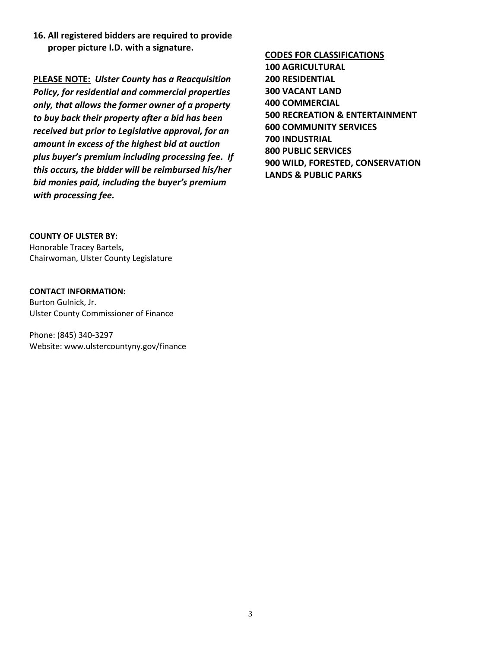**16. All registered bidders are required to provide proper picture I.D. with a signature.**

**PLEASE NOTE:** *Ulster County has a Reacquisition Policy, for residential and commercial properties only, that allows the former owner of a property to buy back their property after a bid has been received but prior to Legislative approval, for an amount in excess of the highest bid at auction plus buyer's premium including processing fee. If this occurs, the bidder will be reimbursed his/her bid monies paid, including the buyer's premium with processing fee.*

**COUNTY OF ULSTER BY:**  Honorable Tracey Bartels, Chairwoman, Ulster County Legislature

**CONTACT INFORMATION:** Burton Gulnick, Jr. Ulster County Commissioner of Finance

Phone: (845) 340-3297 Website: www.ulstercountyny.gov/finance **CODES FOR CLASSIFICATIONS 100 AGRICULTURAL 200 RESIDENTIAL 300 VACANT LAND 400 COMMERCIAL 500 RECREATION & ENTERTAINMENT 600 COMMUNITY SERVICES 700 INDUSTRIAL 800 PUBLIC SERVICES 900 WILD, FORESTED, CONSERVATION LANDS & PUBLIC PARKS**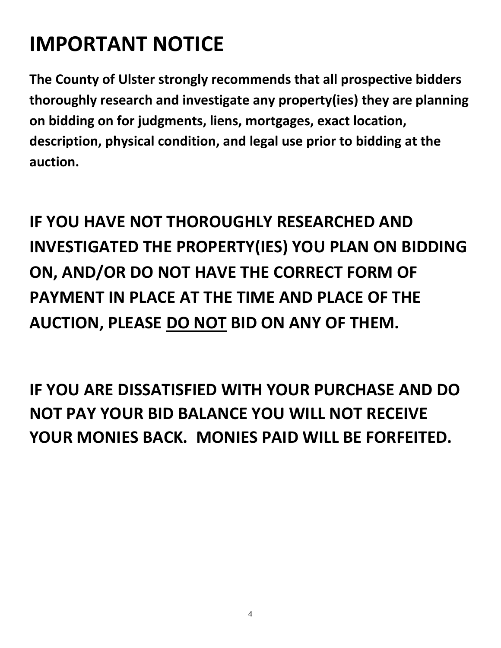# **IMPORTANT NOTICE**

**The County of Ulster strongly recommends that all prospective bidders thoroughly research and investigate any property(ies) they are planning on bidding on for judgments, liens, mortgages, exact location, description, physical condition, and legal use prior to bidding at the auction.**

**IF YOU HAVE NOT THOROUGHLY RESEARCHED AND INVESTIGATED THE PROPERTY(IES) YOU PLAN ON BIDDING ON, AND/OR DO NOT HAVE THE CORRECT FORM OF PAYMENT IN PLACE AT THE TIME AND PLACE OF THE AUCTION, PLEASE DO NOT BID ON ANY OF THEM.**

**IF YOU ARE DISSATISFIED WITH YOUR PURCHASE AND DO NOT PAY YOUR BID BALANCE YOU WILL NOT RECEIVE YOUR MONIES BACK. MONIES PAID WILL BE FORFEITED.**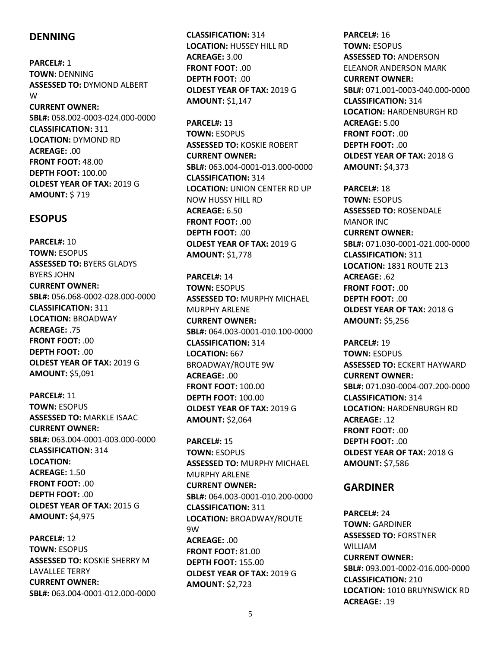## **DENNING**

**PARCEL#:** 1 **TOWN:** DENNING **ASSESSED TO:** DYMOND ALBERT W **CURRENT OWNER: SBL#:** 058.002-0003-024.000-0000 **CLASSIFICATION:** 311 **LOCATION:** DYMOND RD **ACREAGE:** .00 **FRONT FOOT:** 48.00 **DEPTH FOOT:** 100.00 **OLDEST YEAR OF TAX:** 2019 G **AMOUNT:** \$ 719

#### **ESOPUS**

**PARCEL#:** 10 **TOWN:** ESOPUS **ASSESSED TO:** BYERS GLADYS BYERS JOHN **CURRENT OWNER: SBL#:** 056.068-0002-028.000-0000 **CLASSIFICATION:** 311 **LOCATION:** BROADWAY **ACREAGE:** .75 **FRONT FOOT:** .00 **DEPTH FOOT:** .00 **OLDEST YEAR OF TAX:** 2019 G **AMOUNT:** \$5,091

**PARCEL#:** 11 **TOWN:** ESOPUS **ASSESSED TO:** MARKLE ISAAC **CURRENT OWNER: SBL#:** 063.004-0001-003.000-0000 **CLASSIFICATION:** 314 **LOCATION: ACREAGE:** 1.50 **FRONT FOOT:** .00 **DEPTH FOOT:** .00 **OLDEST YEAR OF TAX:** 2015 G **AMOUNT:** \$4,975

**PARCEL#:** 12 **TOWN:** ESOPUS **ASSESSED TO:** KOSKIE SHERRY M LAVALLEE TERRY **CURRENT OWNER: SBL#:** 063.004-0001-012.000-0000 **CLASSIFICATION:** 314 **LOCATION:** HUSSEY HILL RD **ACREAGE:** 3.00 **FRONT FOOT:** .00 **DEPTH FOOT:** .00 **OLDEST YEAR OF TAX:** 2019 G **AMOUNT:** \$1,147

**PARCEL#:** 13 **TOWN:** ESOPUS **ASSESSED TO:** KOSKIE ROBERT **CURRENT OWNER: SBL#:** 063.004-0001-013.000-0000 **CLASSIFICATION:** 314 **LOCATION:** UNION CENTER RD UP NOW HUSSY HILL RD **ACREAGE:** 6.50 **FRONT FOOT:** .00 **DEPTH FOOT:** .00 **OLDEST YEAR OF TAX:** 2019 G **AMOUNT:** \$1,778

**PARCEL#:** 14 **TOWN:** ESOPUS **ASSESSED TO:** MURPHY MICHAEL MURPHY ARLENE **CURRENT OWNER: SBL#:** 064.003-0001-010.100-0000 **CLASSIFICATION:** 314 **LOCATION:** 667 BROADWAY/ROUTE 9W **ACREAGE:** .00 **FRONT FOOT:** 100.00 **DEPTH FOOT:** 100.00 **OLDEST YEAR OF TAX:** 2019 G **AMOUNT:** \$2,064

**PARCEL#:** 15 **TOWN:** ESOPUS **ASSESSED TO:** MURPHY MICHAEL MURPHY ARLENE **CURRENT OWNER: SBL#:** 064.003-0001-010.200-0000 **CLASSIFICATION:** 311 **LOCATION:** BROADWAY/ROUTE 9W **ACREAGE:** .00 **FRONT FOOT:** 81.00 **DEPTH FOOT:** 155.00 **OLDEST YEAR OF TAX:** 2019 G **AMOUNT:** \$2,723

**PARCEL#:** 16 **TOWN:** ESOPUS **ASSESSED TO:** ANDERSON ELEANOR ANDERSON MARK **CURRENT OWNER: SBL#:** 071.001-0003-040.000-0000 **CLASSIFICATION:** 314 **LOCATION:** HARDENBURGH RD **ACREAGE:** 5.00 **FRONT FOOT:** .00 **DEPTH FOOT:** .00 **OLDEST YEAR OF TAX:** 2018 G **AMOUNT:** \$4,373

**PARCEL#:** 18 **TOWN:** ESOPUS **ASSESSED TO:** ROSENDALE MANOR INC **CURRENT OWNER: SBL#:** 071.030-0001-021.000-0000 **CLASSIFICATION:** 311 **LOCATION:** 1831 ROUTE 213 **ACREAGE:** .62 **FRONT FOOT:** .00 **DEPTH FOOT:** .00 **OLDEST YEAR OF TAX:** 2018 G **AMOUNT:** \$5,256

**PARCEL#:** 19 **TOWN:** ESOPUS **ASSESSED TO:** ECKERT HAYWARD **CURRENT OWNER: SBL#:** 071.030-0004-007.200-0000 **CLASSIFICATION:** 314 **LOCATION:** HARDENBURGH RD **ACREAGE:** .12 **FRONT FOOT:** .00 **DEPTH FOOT:** .00 **OLDEST YEAR OF TAX:** 2018 G **AMOUNT:** \$7,586

## **GARDINER**

**PARCEL#:** 24 **TOWN:** GARDINER **ASSESSED TO:** FORSTNER WILLIAM **CURRENT OWNER: SBL#:** 093.001-0002-016.000-0000 **CLASSIFICATION:** 210 **LOCATION:** 1010 BRUYNSWICK RD **ACREAGE:** .19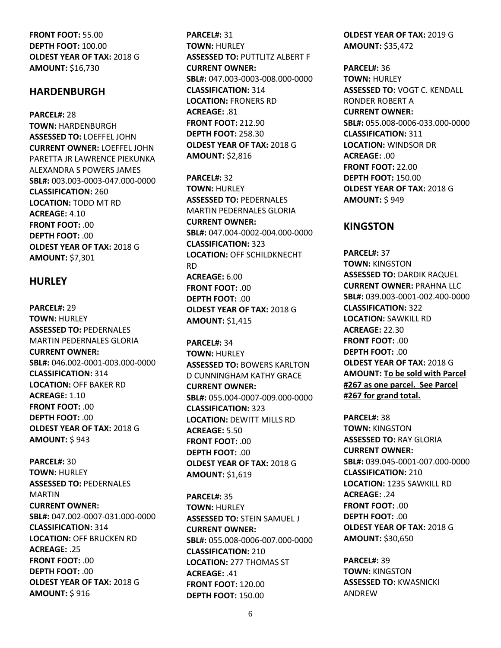**FRONT FOOT:** 55.00 **DEPTH FOOT:** 100.00 **OLDEST YEAR OF TAX:** 2018 G **AMOUNT:** \$16,730

#### **HARDENBURGH**

**PARCEL#:** 28 **TOWN:** HARDENBURGH **ASSESSED TO:** LOEFFEL JOHN **CURRENT OWNER:** LOEFFEL JOHN PARETTA JR LAWRENCE PIEKUNKA ALEXANDRA S POWERS JAMES **SBL#:** 003.003-0003-047.000-0000 **CLASSIFICATION:** 260 **LOCATION:** TODD MT RD **ACREAGE:** 4.10 **FRONT FOOT:** .00 **DEPTH FOOT:** .00 **OLDEST YEAR OF TAX:** 2018 G **AMOUNT:** \$7,301

#### **HURLEY**

**PARCEL#:** 29 **TOWN:** HURLEY **ASSESSED TO:** PEDERNALES MARTIN PEDERNALES GLORIA **CURRENT OWNER: SBL#:** 046.002-0001-003.000-0000 **CLASSIFICATION:** 314 **LOCATION:** OFF BAKER RD **ACREAGE:** 1.10 **FRONT FOOT:** .00 **DEPTH FOOT: 00 OLDEST YEAR OF TAX:** 2018 G **AMOUNT:** \$ 943

**PARCEL#:** 30 **TOWN:** HURLEY **ASSESSED TO:** PEDERNALES MARTIN **CURRENT OWNER: SBL#:** 047.002-0007-031.000-0000 **CLASSIFICATION:** 314 **LOCATION:** OFF BRUCKEN RD **ACREAGE:** .25 **FRONT FOOT:** .00 **DEPTH FOOT:** .00 **OLDEST YEAR OF TAX:** 2018 G **AMOUNT:** \$ 916

**PARCEL#:** 31 **TOWN:** HURLEY **ASSESSED TO:** PUTTLITZ ALBERT F **CURRENT OWNER: SBL#:** 047.003-0003-008.000-0000 **CLASSIFICATION:** 314 **LOCATION:** FRONERS RD **ACREAGE:** .81 **FRONT FOOT:** 212.90 **DEPTH FOOT:** 258.30 **OLDEST YEAR OF TAX:** 2018 G **AMOUNT:** \$2,816

**PARCEL#:** 32 **TOWN:** HURLEY **ASSESSED TO:** PEDERNALES MARTIN PEDERNALES GLORIA **CURRENT OWNER: SBL#:** 047.004-0002-004.000-0000 **CLASSIFICATION:** 323 **LOCATION:** OFF SCHILDKNECHT RD **ACREAGE:** 6.00 **FRONT FOOT:** .00 **DEPTH FOOT:** .00 **OLDEST YEAR OF TAX:** 2018 G **AMOUNT:** \$1,415

**PARCEL#:** 34 **TOWN:** HURLEY **ASSESSED TO:** BOWERS KARLTON D CUNNINGHAM KATHY GRACE **CURRENT OWNER: SBL#:** 055.004-0007-009.000-0000 **CLASSIFICATION:** 323 **LOCATION:** DEWITT MILLS RD **ACREAGE:** 5.50 **FRONT FOOT:** .00 **DEPTH FOOT:** .00 **OLDEST YEAR OF TAX:** 2018 G **AMOUNT:** \$1,619

**PARCEL#:** 35 **TOWN:** HURLEY **ASSESSED TO:** STEIN SAMUEL J **CURRENT OWNER: SBL#:** 055.008-0006-007.000-0000 **CLASSIFICATION:** 210 **LOCATION:** 277 THOMAS ST **ACREAGE:** .41 **FRONT FOOT:** 120.00 **DEPTH FOOT:** 150.00

**OLDEST YEAR OF TAX:** 2019 G **AMOUNT:** \$35,472

**PARCEL#:** 36 **TOWN:** HURLEY **ASSESSED TO:** VOGT C. KENDALL RONDER ROBERT A **CURRENT OWNER: SBL#:** 055.008-0006-033.000-0000 **CLASSIFICATION:** 311 **LOCATION:** WINDSOR DR **ACREAGE:** .00 **FRONT FOOT:** 22.00 **DEPTH FOOT:** 150.00 **OLDEST YEAR OF TAX:** 2018 G **AMOUNT:** \$ 949

### **KINGSTON**

**PARCEL#:** 37 **TOWN:** KINGSTON **ASSESSED TO:** DARDIK RAQUEL **CURRENT OWNER:** PRAHNA LLC **SBL#:** 039.003-0001-002.400-0000 **CLASSIFICATION:** 322 **LOCATION:** SAWKILL RD **ACREAGE:** 22.30 **FRONT FOOT:** .00 **DEPTH FOOT:** .00 **OLDEST YEAR OF TAX:** 2018 G **AMOUNT: To be sold with Parcel #267 as one parcel. See Parcel #267 for grand total.**

**PARCEL#:** 38 **TOWN:** KINGSTON **ASSESSED TO:** RAY GLORIA **CURRENT OWNER: SBL#:** 039.045-0001-007.000-0000 **CLASSIFICATION:** 210 **LOCATION:** 1235 SAWKILL RD **ACREAGE:** .24 **FRONT FOOT:** .00 **DEPTH FOOT:** .00 **OLDEST YEAR OF TAX:** 2018 G **AMOUNT:** \$30,650

**PARCEL#:** 39 **TOWN:** KINGSTON **ASSESSED TO:** KWASNICKI ANDREW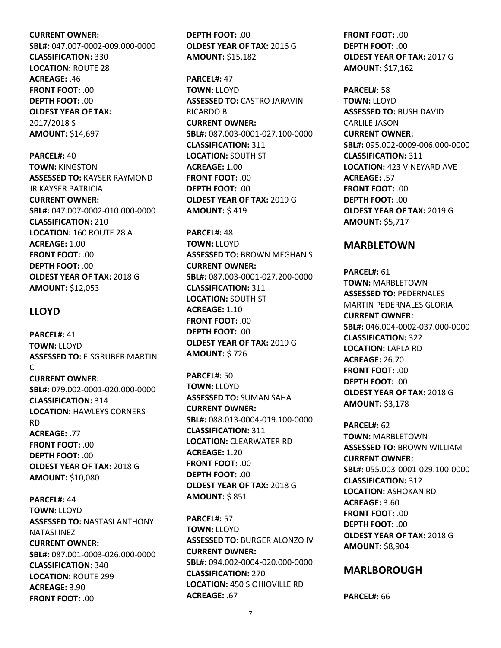#### **CURRENT OWNER:**

**SBL#:** 047.007-0002-009.000-0000 **CLASSIFICATION:** 330 **LOCATION:** ROUTE 28 **ACREAGE:** .46 **FRONT FOOT:** .00 **DEPTH FOOT:** .00 **OLDEST YEAR OF TAX:** 2017/2018 S **AMOUNT:** \$14,697

**PARCEL#:** 40 **TOWN:** KINGSTON **ASSESSED TO:** KAYSER RAYMOND JR KAYSER PATRICIA **CURRENT OWNER: SBL#:** 047.007-0002-010.000-0000 **CLASSIFICATION:** 210 **LOCATION:** 160 ROUTE 28 A **ACREAGE:** 1.00 **FRONT FOOT:** .00 **DEPTH FOOT:** .00 **OLDEST YEAR OF TAX:** 2018 G **AMOUNT:** \$12,053

#### **LLOYD**

**PARCEL#:** 41 **TOWN:** LLOYD **ASSESSED TO:** EISGRUBER MARTIN  $\mathsf{C}$ **CURRENT OWNER: SBL#:** 079.002-0001-020.000-0000 **CLASSIFICATION:** 314 **LOCATION:** HAWLEYS CORNERS RD **ACREAGE:** .77 **FRONT FOOT:** .00 **DEPTH FOOT:** .00 **OLDEST YEAR OF TAX:** 2018 G **AMOUNT:** \$10,080

**PARCEL#:** 44 **TOWN:** LLOYD **ASSESSED TO:** NASTASI ANTHONY NATASI INEZ **CURRENT OWNER: SBL#:** 087.001-0003-026.000-0000 **CLASSIFICATION:** 340 **LOCATION:** ROUTE 299 **ACREAGE:** 3.90 **FRONT FOOT:** .00

**DEPTH FOOT:** .00 **OLDEST YEAR OF TAX:** 2016 G **AMOUNT:** \$15,182

**PARCEL#:** 47 **TOWN:** LLOYD **ASSESSED TO:** CASTRO JARAVIN RICARDO B **CURRENT OWNER: SBL#:** 087.003-0001-027.100-0000 **CLASSIFICATION:** 311 **LOCATION:** SOUTH ST **ACREAGE:** 1.00 **FRONT FOOT:** .00 **DEPTH FOOT:** .00 **OLDEST YEAR OF TAX:** 2019 G **AMOUNT:** \$ 419

**PARCEL#:** 48 **TOWN:** LLOYD **ASSESSED TO:** BROWN MEGHAN S **CURRENT OWNER: SBL#:** 087.003-0001-027.200-0000 **CLASSIFICATION:** 311 **LOCATION:** SOUTH ST **ACREAGE:** 1.10 **FRONT FOOT:** .00 **DEPTH FOOT:** .00 **OLDEST YEAR OF TAX:** 2019 G **AMOUNT:** \$ 726

**PARCEL#:** 50 **TOWN:** LLOYD **ASSESSED TO:** SUMAN SAHA **CURRENT OWNER: SBL#:** 088.013-0004-019.100-0000 **CLASSIFICATION:** 311 **LOCATION:** CLEARWATER RD **ACREAGE:** 1.20 **FRONT FOOT:** .00 **DEPTH FOOT:** .00 **OLDEST YEAR OF TAX:** 2018 G **AMOUNT:** \$ 851

**PARCEL#:** 57 **TOWN:** LLOYD **ASSESSED TO:** BURGER ALONZO IV **CURRENT OWNER: SBL#:** 094.002-0004-020.000-0000 **CLASSIFICATION:** 270 **LOCATION:** 450 S OHIOVILLE RD **ACREAGE:** .67

**FRONT FOOT:** .00 **DEPTH FOOT:** .00 **OLDEST YEAR OF TAX:** 2017 G **AMOUNT:** \$17,162

**PARCEL#:** 58 **TOWN:** LLOYD **ASSESSED TO:** BUSH DAVID CARLILE JASON **CURRENT OWNER: SBL#:** 095.002-0009-006.000-0000 **CLASSIFICATION:** 311 **LOCATION:** 423 VINEYARD AVE **ACREAGE:** .57 **FRONT FOOT:** .00 **DEPTH FOOT:** .00 **OLDEST YEAR OF TAX:** 2019 G **AMOUNT:** \$5,717

### **MARBLETOWN**

**PARCEL#:** 61 **TOWN:** MARBLETOWN **ASSESSED TO:** PEDERNALES MARTIN PEDERNALES GLORIA **CURRENT OWNER: SBL#:** 046.004-0002-037.000-0000 **CLASSIFICATION:** 322 **LOCATION:** LAPLA RD **ACREAGE:** 26.70 **FRONT FOOT:** .00 **DEPTH FOOT:** .00 **OLDEST YEAR OF TAX:** 2018 G **AMOUNT:** \$3,178

**PARCEL#:** 62 **TOWN:** MARBLETOWN **ASSESSED TO:** BROWN WILLIAM **CURRENT OWNER: SBL#:** 055.003-0001-029.100-0000 **CLASSIFICATION:** 312 **LOCATION:** ASHOKAN RD **ACREAGE:** 3.60 **FRONT FOOT:** .00 **DEPTH FOOT:** .00 **OLDEST YEAR OF TAX:** 2018 G **AMOUNT:** \$8,904

#### **MARLBOROUGH**

**PARCEL#:** 66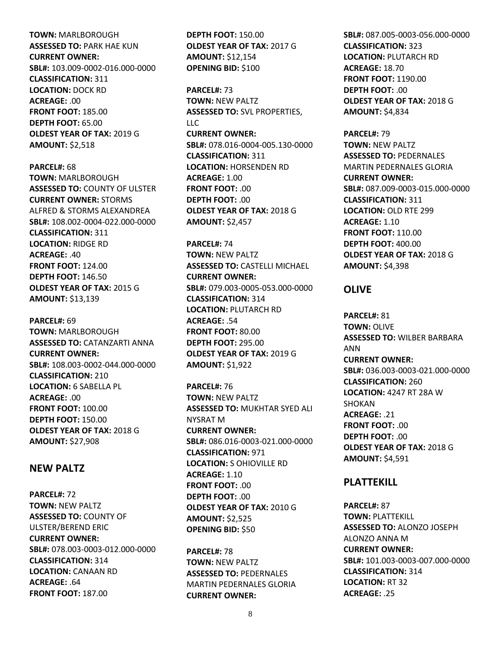**TOWN:** MARLBOROUGH **ASSESSED TO:** PARK HAE KUN **CURRENT OWNER: SBL#:** 103.009-0002-016.000-0000 **CLASSIFICATION:** 311 **LOCATION:** DOCK RD **ACREAGE:** .00 **FRONT FOOT:** 185.00 **DEPTH FOOT:** 65.00 **OLDEST YEAR OF TAX:** 2019 G **AMOUNT:** \$2,518

**PARCEL#:** 68 **TOWN:** MARLBOROUGH **ASSESSED TO:** COUNTY OF ULSTER **CURRENT OWNER:** STORMS ALFRED & STORMS ALEXANDREA **SBL#:** 108.002-0004-022.000-0000 **CLASSIFICATION:** 311 **LOCATION:** RIDGE RD **ACREAGE:** .40 **FRONT FOOT:** 124.00 **DEPTH FOOT:** 146.50 **OLDEST YEAR OF TAX:** 2015 G **AMOUNT:** \$13,139

**PARCEL#:** 69 **TOWN:** MARLBOROUGH **ASSESSED TO:** CATANZARTI ANNA **CURRENT OWNER: SBL#:** 108.003-0002-044.000-0000 **CLASSIFICATION:** 210 **LOCATION:** 6 SABELLA PL **ACREAGE:** .00 **FRONT FOOT:** 100.00 **DEPTH FOOT:** 150.00 **OLDEST YEAR OF TAX:** 2018 G **AMOUNT:** \$27,908

#### **NEW PALTZ**

**PARCEL#:** 72 **TOWN:** NEW PALTZ **ASSESSED TO:** COUNTY OF ULSTER/BEREND ERIC **CURRENT OWNER: SBL#:** 078.003-0003-012.000-0000 **CLASSIFICATION:** 314 **LOCATION:** CANAAN RD **ACREAGE:** .64 **FRONT FOOT:** 187.00

**DEPTH FOOT:** 150.00 **OLDEST YEAR OF TAX:** 2017 G **AMOUNT:** \$12,154 **OPENING BID:** \$100

**PARCEL#:** 73 **TOWN:** NEW PALTZ **ASSESSED TO:** SVL PROPERTIES, LLC **CURRENT OWNER: SBL#:** 078.016-0004-005.130-0000 **CLASSIFICATION:** 311 **LOCATION:** HORSENDEN RD **ACREAGE:** 1.00 **FRONT FOOT:** .00 **DEPTH FOOT:** .00 **OLDEST YEAR OF TAX:** 2018 G **AMOUNT:** \$2,457

**PARCEL#:** 74 **TOWN:** NEW PALTZ **ASSESSED TO:** CASTELLI MICHAEL **CURRENT OWNER: SBL#:** 079.003-0005-053.000-0000 **CLASSIFICATION:** 314 **LOCATION:** PLUTARCH RD **ACREAGE:** .54 **FRONT FOOT:** 80.00 **DEPTH FOOT:** 295.00 **OLDEST YEAR OF TAX:** 2019 G **AMOUNT:** \$1,922

**PARCEL#:** 76 **TOWN:** NEW PALTZ **ASSESSED TO:** MUKHTAR SYED ALI NYSRAT M **CURRENT OWNER: SBL#:** 086.016-0003-021.000-0000 **CLASSIFICATION:** 971 **LOCATION:** S OHIOVILLE RD **ACREAGE:** 1.10 **FRONT FOOT:** .00 **DEPTH FOOT:** .00 **OLDEST YEAR OF TAX:** 2010 G **AMOUNT:** \$2,525 **OPENING BID:** \$50

**PARCEL#:** 78 **TOWN:** NEW PALTZ **ASSESSED TO:** PEDERNALES MARTIN PEDERNALES GLORIA **CURRENT OWNER:**

**SBL#:** 087.005-0003-056.000-0000 **CLASSIFICATION:** 323 **LOCATION:** PLUTARCH RD **ACREAGE:** 18.70 **FRONT FOOT:** 1190.00 **DEPTH FOOT:** .00 **OLDEST YEAR OF TAX:** 2018 G **AMOUNT:** \$4,834

**PARCEL#:** 79 **TOWN:** NEW PALTZ **ASSESSED TO:** PEDERNALES MARTIN PEDERNALES GLORIA **CURRENT OWNER: SBL#:** 087.009-0003-015.000-0000 **CLASSIFICATION:** 311 **LOCATION:** OLD RTE 299 **ACREAGE:** 1.10 **FRONT FOOT:** 110.00 **DEPTH FOOT:** 400.00 **OLDEST YEAR OF TAX:** 2018 G **AMOUNT:** \$4,398

### **OLIVE**

**PARCEL#:** 81 **TOWN:** OLIVE **ASSESSED TO:** WILBER BARBARA ANN **CURRENT OWNER: SBL#:** 036.003-0003-021.000-0000 **CLASSIFICATION:** 260 **LOCATION:** 4247 RT 28A W SHOKAN **ACREAGE:** .21 **FRONT FOOT:** .00 **DEPTH FOOT:** .00 **OLDEST YEAR OF TAX:** 2018 G **AMOUNT:** \$4,591

## **PLATTEKILL**

**PARCEL#:** 87 **TOWN:** PLATTEKILL **ASSESSED TO:** ALONZO JOSEPH ALONZO ANNA M **CURRENT OWNER: SBL#:** 101.003-0003-007.000-0000 **CLASSIFICATION:** 314 **LOCATION:** RT 32 **ACREAGE:** .25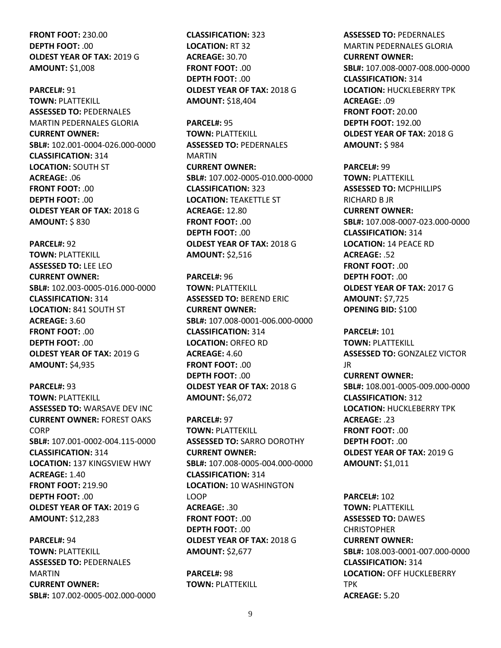**FRONT FOOT:** 230.00 **DEPTH FOOT:** .00 **OLDEST YEAR OF TAX:** 2019 G **AMOUNT:** \$1,008

**PARCEL#:** 91 **TOWN:** PLATTEKILL **ASSESSED TO:** PEDERNALES MARTIN PEDERNALES GLORIA **CURRENT OWNER: SBL#:** 102.001-0004-026.000-0000 **CLASSIFICATION:** 314 **LOCATION:** SOUTH ST **ACREAGE:** .06 **FRONT FOOT:** .00 **DEPTH FOOT:** .00 **OLDEST YEAR OF TAX:** 2018 G **AMOUNT:** \$ 830

**PARCEL#:** 92 **TOWN:** PLATTEKILL **ASSESSED TO:** LEE LEO **CURRENT OWNER: SBL#:** 102.003-0005-016.000-0000 **CLASSIFICATION:** 314 **LOCATION:** 841 SOUTH ST **ACREAGE:** 3.60 **FRONT FOOT:** .00 **DEPTH FOOT:** .00 **OLDEST YEAR OF TAX:** 2019 G **AMOUNT:** \$4,935

**PARCEL#:** 93 **TOWN:** PLATTEKILL **ASSESSED TO:** WARSAVE DEV INC **CURRENT OWNER:** FOREST OAKS **CORP SBL#:** 107.001-0002-004.115-0000 **CLASSIFICATION:** 314 **LOCATION:** 137 KINGSVIEW HWY **ACREAGE:** 1.40 **FRONT FOOT:** 219.90 **DEPTH FOOT:** .00 **OLDEST YEAR OF TAX:** 2019 G **AMOUNT:** \$12,283

**PARCEL#:** 94 **TOWN:** PLATTEKILL **ASSESSED TO:** PEDERNALES MARTIN **CURRENT OWNER: SBL#:** 107.002-0005-002.000-0000 **CLASSIFICATION:** 323 **LOCATION:** RT 32 **ACREAGE:** 30.70 **FRONT FOOT:** .00 **DEPTH FOOT:** .00 **OLDEST YEAR OF TAX:** 2018 G **AMOUNT:** \$18,404

**PARCEL#:** 95 **TOWN:** PLATTEKILL **ASSESSED TO:** PEDERNALES MARTIN **CURRENT OWNER: SBL#:** 107.002-0005-010.000-0000 **CLASSIFICATION:** 323 **LOCATION: TEAKETTLE ST ACREAGE:** 12.80 **FRONT FOOT:** .00 **DEPTH FOOT:** .00 **OLDEST YEAR OF TAX:** 2018 G **AMOUNT:** \$2,516

**PARCEL#:** 96 **TOWN:** PLATTEKILL **ASSESSED TO:** BEREND ERIC **CURRENT OWNER: SBL#:** 107.008-0001-006.000-0000 **CLASSIFICATION:** 314 **LOCATION:** ORFEO RD **ACREAGE:** 4.60 **FRONT FOOT:** .00 **DEPTH FOOT:** .00 **OLDEST YEAR OF TAX:** 2018 G **AMOUNT:** \$6,072

**PARCEL#:** 97 **TOWN:** PLATTEKILL **ASSESSED TO:** SARRO DOROTHY **CURRENT OWNER: SBL#:** 107.008-0005-004.000-0000 **CLASSIFICATION:** 314 **LOCATION:** 10 WASHINGTON LOOP **ACREAGE:** .30 **FRONT FOOT:** .00 **DEPTH FOOT:** .00 **OLDEST YEAR OF TAX:** 2018 G **AMOUNT:** \$2,677

**PARCEL#:** 98 **TOWN:** PLATTEKILL **ASSESSED TO:** PEDERNALES MARTIN PEDERNALES GLORIA **CURRENT OWNER: SBL#:** 107.008-0007-008.000-0000 **CLASSIFICATION:** 314 **LOCATION:** HUCKLEBERRY TPK **ACREAGE:** .09 **FRONT FOOT:** 20.00 **DEPTH FOOT:** 192.00 **OLDEST YEAR OF TAX:** 2018 G **AMOUNT:** \$ 984

**PARCEL#:** 99 **TOWN:** PLATTEKILL **ASSESSED TO:** MCPHILLIPS RICHARD B JR **CURRENT OWNER: SBL#:** 107.008-0007-023.000-0000 **CLASSIFICATION:** 314 **LOCATION:** 14 PEACE RD **ACREAGE:** .52 **FRONT FOOT:** .00 **DEPTH FOOT:** .00 **OLDEST YEAR OF TAX:** 2017 G **AMOUNT:** \$7,725 **OPENING BID:** \$100

**PARCEL#:** 101 **TOWN:** PLATTEKILL **ASSESSED TO:** GONZALEZ VICTOR JR **CURRENT OWNER: SBL#:** 108.001-0005-009.000-0000 **CLASSIFICATION:** 312 **LOCATION:** HUCKLEBERRY TPK **ACREAGE:** .23 **FRONT FOOT:** .00 **DEPTH FOOT: 00 OLDEST YEAR OF TAX:** 2019 G **AMOUNT:** \$1,011

**PARCEL#:** 102 **TOWN:** PLATTEKILL **ASSESSED TO:** DAWES CHRISTOPHER **CURRENT OWNER: SBL#:** 108.003-0001-007.000-0000 **CLASSIFICATION:** 314 **LOCATION:** OFF HUCKLEBERRY TPK **ACREAGE:** 5.20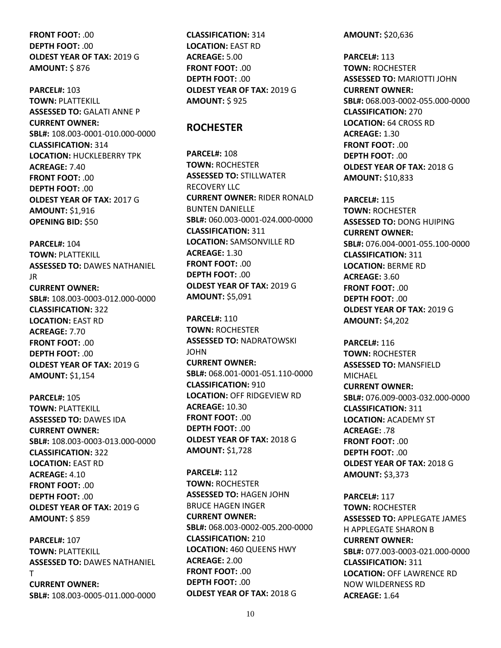**FRONT FOOT:** .00 **DEPTH FOOT:** .00 **OLDEST YEAR OF TAX:** 2019 G **AMOUNT:** \$ 876

**PARCEL#:** 103 **TOWN:** PLATTEKILL **ASSESSED TO:** GALATI ANNE P **CURRENT OWNER: SBL#:** 108.003-0001-010.000-0000 **CLASSIFICATION:** 314 **LOCATION:** HUCKLEBERRY TPK **ACREAGE:** 7.40 **FRONT FOOT:** .00 **DEPTH FOOT:** .00 **OLDEST YEAR OF TAX:** 2017 G **AMOUNT:** \$1,916 **OPENING BID:** \$50

**PARCEL#:** 104 **TOWN:** PLATTEKILL **ASSESSED TO:** DAWES NATHANIEL JR **CURRENT OWNER: SBL#:** 108.003-0003-012.000-0000 **CLASSIFICATION:** 322 **LOCATION:** EAST RD **ACREAGE:** 7.70 **FRONT FOOT:** .00 **DEPTH FOOT:** .00 **OLDEST YEAR OF TAX:** 2019 G **AMOUNT:** \$1,154

**PARCEL#:** 105 **TOWN:** PLATTEKILL **ASSESSED TO:** DAWES IDA **CURRENT OWNER: SBL#:** 108.003-0003-013.000-0000 **CLASSIFICATION:** 322 **LOCATION:** EAST RD **ACREAGE:** 4.10 **FRONT FOOT:** .00 **DEPTH FOOT:** .00 **OLDEST YEAR OF TAX:** 2019 G **AMOUNT:** \$ 859

**PARCEL#:** 107 **TOWN:** PLATTEKILL **ASSESSED TO:** DAWES NATHANIEL T **CURRENT OWNER: SBL#:** 108.003-0005-011.000-0000 **CLASSIFICATION:** 314 **LOCATION:** EAST RD **ACREAGE:** 5.00 **FRONT FOOT:** .00 **DEPTH FOOT: 00 OLDEST YEAR OF TAX:** 2019 G **AMOUNT:** \$ 925

#### **ROCHESTER**

**PARCEL#:** 108 **TOWN:** ROCHESTER **ASSESSED TO:** STILLWATER RECOVERY LLC **CURRENT OWNER:** RIDER RONALD BUNTEN DANIELLE **SBL#:** 060.003-0001-024.000-0000 **CLASSIFICATION:** 311 **LOCATION:** SAMSONVILLE RD **ACREAGE:** 1.30 **FRONT FOOT:** .00 **DEPTH FOOT:** .00 **OLDEST YEAR OF TAX:** 2019 G **AMOUNT:** \$5,091

**PARCEL#:** 110 **TOWN:** ROCHESTER **ASSESSED TO:** NADRATOWSKI JOHN **CURRENT OWNER: SBL#:** 068.001-0001-051.110-0000 **CLASSIFICATION:** 910 **LOCATION:** OFF RIDGEVIEW RD **ACREAGE:** 10.30 **FRONT FOOT:** .00 **DEPTH FOOT:** .00 **OLDEST YEAR OF TAX:** 2018 G **AMOUNT:** \$1,728

**PARCEL#:** 112 **TOWN:** ROCHESTER **ASSESSED TO:** HAGEN JOHN BRUCE HAGEN INGER **CURRENT OWNER: SBL#:** 068.003-0002-005.200-0000 **CLASSIFICATION:** 210 **LOCATION:** 460 QUEENS HWY **ACREAGE:** 2.00 **FRONT FOOT:** .00 **DEPTH FOOT:** .00 **OLDEST YEAR OF TAX:** 2018 G

**AMOUNT:** \$20,636

**PARCEL#:** 113 **TOWN:** ROCHESTER **ASSESSED TO:** MARIOTTI JOHN **CURRENT OWNER: SBL#:** 068.003-0002-055.000-0000 **CLASSIFICATION:** 270 **LOCATION:** 64 CROSS RD **ACREAGE:** 1.30 **FRONT FOOT:** .00 **DEPTH FOOT:** .00 **OLDEST YEAR OF TAX:** 2018 G **AMOUNT:** \$10,833

**PARCEL#:** 115 **TOWN:** ROCHESTER **ASSESSED TO:** DONG HUIPING **CURRENT OWNER: SBL#:** 076.004-0001-055.100-0000 **CLASSIFICATION:** 311 **LOCATION:** BERME RD **ACREAGE:** 3.60 **FRONT FOOT:** .00 **DEPTH FOOT:** .00 **OLDEST YEAR OF TAX:** 2019 G **AMOUNT:** \$4,202

**PARCEL#:** 116 **TOWN:** ROCHESTER **ASSESSED TO:** MANSFIELD MICHAEL **CURRENT OWNER: SBL#:** 076.009-0003-032.000-0000 **CLASSIFICATION:** 311 **LOCATION:** ACADEMY ST **ACREAGE:** .78 **FRONT FOOT:** .00 **DEPTH FOOT: 00 OLDEST YEAR OF TAX:** 2018 G **AMOUNT:** \$3,373

**PARCEL#:** 117 **TOWN:** ROCHESTER **ASSESSED TO:** APPLEGATE JAMES H APPLEGATE SHARON B **CURRENT OWNER: SBL#:** 077.003-0003-021.000-0000 **CLASSIFICATION:** 311 **LOCATION:** OFF LAWRENCE RD NOW WILDERNESS RD **ACREAGE:** 1.64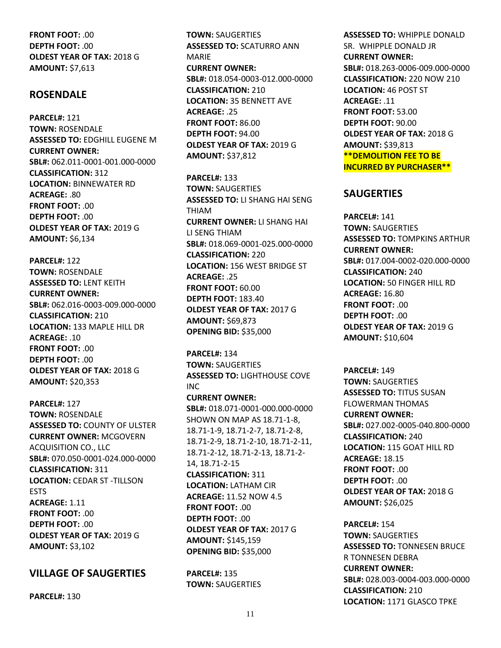**FRONT FOOT:** .00 **DEPTH FOOT:** .00 **OLDEST YEAR OF TAX:** 2018 G **AMOUNT:** \$7,613

## **ROSENDALE**

**PARCEL#:** 121 **TOWN:** ROSENDALE **ASSESSED TO:** EDGHILL EUGENE M **CURRENT OWNER: SBL#:** 062.011-0001-001.000-0000 **CLASSIFICATION:** 312 **LOCATION:** BINNEWATER RD **ACREAGE:** .80 **FRONT FOOT:** .00 **DEPTH FOOT:** .00 **OLDEST YEAR OF TAX:** 2019 G **AMOUNT:** \$6,134

**PARCEL#:** 122 **TOWN:** ROSENDALE **ASSESSED TO:** LENT KEITH **CURRENT OWNER: SBL#:** 062.016-0003-009.000-0000 **CLASSIFICATION:** 210 **LOCATION:** 133 MAPLE HILL DR **ACREAGE:** .10 **FRONT FOOT:** .00 **DEPTH FOOT:** .00 **OLDEST YEAR OF TAX:** 2018 G **AMOUNT:** \$20,353

**PARCEL#:** 127 **TOWN:** ROSENDALE **ASSESSED TO:** COUNTY OF ULSTER **CURRENT OWNER:** MCGOVERN ACQUISITION CO., LLC **SBL#:** 070.050-0001-024.000-0000 **CLASSIFICATION:** 311 **LOCATION:** CEDAR ST -TILLSON ESTS **ACREAGE:** 1.11 **FRONT FOOT:** .00 **DEPTH FOOT:** .00 **OLDEST YEAR OF TAX:** 2019 G **AMOUNT:** \$3,102

## **VILLAGE OF SAUGERTIES**

**PARCEL#:** 130

**TOWN:** SAUGERTIES **ASSESSED TO:** SCATURRO ANN MARIE **CURRENT OWNER: SBL#:** 018.054-0003-012.000-0000 **CLASSIFICATION:** 210 **LOCATION:** 35 BENNETT AVE **ACREAGE:** .25 **FRONT FOOT:** 86.00 **DEPTH FOOT:** 94.00 **OLDEST YEAR OF TAX:** 2019 G **AMOUNT:** \$37,812

**PARCEL#:** 133 **TOWN:** SAUGERTIES **ASSESSED TO:** LI SHANG HAI SENG THIAM **CURRENT OWNER:** LI SHANG HAI LI SENG THIAM **SBL#:** 018.069-0001-025.000-0000 **CLASSIFICATION:** 220 **LOCATION:** 156 WEST BRIDGE ST **ACREAGE:** .25 **FRONT FOOT:** 60.00 **DEPTH FOOT:** 183.40 **OLDEST YEAR OF TAX:** 2017 G **AMOUNT:** \$69,873 **OPENING BID:** \$35,000

**PARCEL#:** 134 **TOWN:** SAUGERTIES **ASSESSED TO:** LIGHTHOUSE COVE INC

**CURRENT OWNER: SBL#:** 018.071-0001-000.000-0000 SHOWN ON MAP AS 18.71-1-8, 18.71-1-9, 18.71-2-7, 18.71-2-8, 18.71-2-9, 18.71-2-10, 18.71-2-11, 18.71-2-12, 18.71-2-13, 18.71-2- 14, 18.71-2-15 **CLASSIFICATION:** 311 **LOCATION:** LATHAM CIR **ACREAGE:** 11.52 NOW 4.5 **FRONT FOOT:** .00 **DEPTH FOOT:** .00 **OLDEST YEAR OF TAX:** 2017 G **AMOUNT:** \$145,159 **OPENING BID:** \$35,000

**PARCEL#:** 135 **TOWN:** SAUGERTIES **ASSESSED TO:** WHIPPLE DONALD SR. WHIPPLE DONALD JR **CURRENT OWNER: SBL#:** 018.263-0006-009.000-0000 **CLASSIFICATION:** 220 NOW 210 **LOCATION:** 46 POST ST **ACREAGE:** .11 **FRONT FOOT:** 53.00 **DEPTH FOOT:** 90.00 **OLDEST YEAR OF TAX:** 2018 G **AMOUNT:** \$39,813 **\*\*DEMOLITION FEE TO BE INCURRED BY PURCHASER\*\***

## **SAUGERTIES**

**PARCEL#:** 141 **TOWN:** SAUGERTIES **ASSESSED TO:** TOMPKINS ARTHUR **CURRENT OWNER: SBL#:** 017.004-0002-020.000-0000 **CLASSIFICATION:** 240 **LOCATION:** 50 FINGER HILL RD **ACREAGE:** 16.80 **FRONT FOOT:** .00 **DEPTH FOOT:** .00 **OLDEST YEAR OF TAX:** 2019 G **AMOUNT:** \$10,604

**PARCEL#:** 149 **TOWN:** SAUGERTIES **ASSESSED TO:** TITUS SUSAN FLOWERMAN THOMAS **CURRENT OWNER: SBL#:** 027.002-0005-040.800-0000 **CLASSIFICATION:** 240 **LOCATION:** 115 GOAT HILL RD **ACREAGE:** 18.15 **FRONT FOOT:** .00 **DEPTH FOOT:** .00 **OLDEST YEAR OF TAX:** 2018 G **AMOUNT:** \$26,025

**PARCEL#:** 154 **TOWN:** SAUGERTIES **ASSESSED TO:** TONNESEN BRUCE R TONNESEN DEBRA **CURRENT OWNER: SBL#:** 028.003-0004-003.000-0000 **CLASSIFICATION:** 210 **LOCATION:** 1171 GLASCO TPKE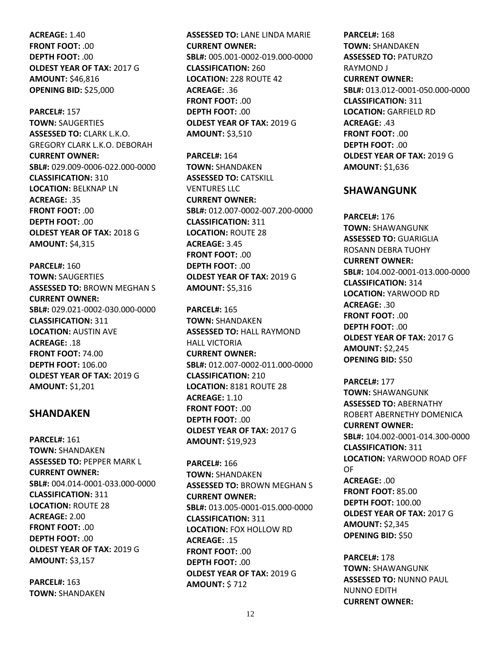**ACREAGE:** 1.40 **FRONT FOOT:** .00 **DEPTH FOOT:** .00 **OLDEST YEAR OF TAX:** 2017 G **AMOUNT:** \$46,816 **OPENING BID:** \$25,000

**PARCEL#:** 157 **TOWN:** SAUGERTIES **ASSESSED TO:** CLARK L.K.O. GREGORY CLARK L.K.O. DEBORAH **CURRENT OWNER: SBL#:** 029.009-0006-022.000-0000 **CLASSIFICATION:** 310 **LOCATION:** BELKNAP LN **ACREAGE:** .35 **FRONT FOOT:** .00 **DEPTH FOOT:** .00 **OLDEST YEAR OF TAX:** 2018 G **AMOUNT:** \$4,315

**PARCEL#:** 160 **TOWN:** SAUGERTIES **ASSESSED TO:** BROWN MEGHAN S **CURRENT OWNER: SBL#:** 029.021-0002-030.000-0000 **CLASSIFICATION:** 311 **LOCATION:** AUSTIN AVE **ACREAGE:** .18 **FRONT FOOT:** 74.00 **DEPTH FOOT:** 106.00 **OLDEST YEAR OF TAX:** 2019 G **AMOUNT:** \$1,201

#### **SHANDAKEN**

**PARCEL#:** 161 **TOWN:** SHANDAKEN **ASSESSED TO:** PEPPER MARK L **CURRENT OWNER: SBL#:** 004.014-0001-033.000-0000 **CLASSIFICATION:** 311 **LOCATION:** ROUTE 28 **ACREAGE:** 2.00 **FRONT FOOT:** .00 **DEPTH FOOT:** .00 **OLDEST YEAR OF TAX:** 2019 G **AMOUNT:** \$3,157

**PARCEL#:** 163 **TOWN:** SHANDAKEN **ASSESSED TO:** LANE LINDA MARIE **CURRENT OWNER: SBL#:** 005.001-0002-019.000-0000 **CLASSIFICATION:** 260 **LOCATION:** 228 ROUTE 42 **ACREAGE:** .36 **FRONT FOOT:** .00 **DEPTH FOOT:** .00 **OLDEST YEAR OF TAX:** 2019 G **AMOUNT:** \$3,510

**PARCEL#:** 164 **TOWN:** SHANDAKEN **ASSESSED TO:** CATSKILL VENTURES LLC **CURRENT OWNER: SBL#:** 012.007-0002-007.200-0000 **CLASSIFICATION:** 311 **LOCATION:** ROUTE 28 **ACREAGE:** 3.45 **FRONT FOOT:** .00 **DEPTH FOOT:** .00 **OLDEST YEAR OF TAX:** 2019 G **AMOUNT:** \$5,316

**PARCEL#:** 165 **TOWN:** SHANDAKEN **ASSESSED TO:** HALL RAYMOND HALL VICTORIA **CURRENT OWNER: SBL#:** 012.007-0002-011.000-0000 **CLASSIFICATION:** 210 **LOCATION:** 8181 ROUTE 28 **ACREAGE:** 1.10 **FRONT FOOT:** .00 **DEPTH FOOT:** .00 **OLDEST YEAR OF TAX:** 2017 G **AMOUNT:** \$19,923

**PARCEL#:** 166 **TOWN:** SHANDAKEN **ASSESSED TO:** BROWN MEGHAN S **CURRENT OWNER: SBL#:** 013.005-0001-015.000-0000 **CLASSIFICATION:** 311 **LOCATION:** FOX HOLLOW RD **ACREAGE:** .15 **FRONT FOOT:** .00 **DEPTH FOOT: 00 OLDEST YEAR OF TAX:** 2019 G **AMOUNT:** \$ 712

**PARCEL#:** 168 **TOWN:** SHANDAKEN **ASSESSED TO:** PATURZO RAYMOND J **CURRENT OWNER: SBL#:** 013.012-0001-050.000-0000 **CLASSIFICATION:** 311 **LOCATION:** GARFIELD RD **ACREAGE:** .43 **FRONT FOOT:** .00 **DEPTH FOOT:** .00 **OLDEST YEAR OF TAX:** 2019 G **AMOUNT:** \$1,636

#### **SHAWANGUNK**

**PARCEL#:** 176 **TOWN:** SHAWANGUNK **ASSESSED TO:** GUARIGLIA ROSANN DEBRA TUOHY **CURRENT OWNER: SBL#:** 104.002-0001-013.000-0000 **CLASSIFICATION:** 314 **LOCATION:** YARWOOD RD **ACREAGE:** .30 **FRONT FOOT:** .00 **DEPTH FOOT:** .00 **OLDEST YEAR OF TAX:** 2017 G **AMOUNT:** \$2,245 **OPENING BID:** \$50

**PARCEL#:** 177 **TOWN:** SHAWANGUNK **ASSESSED TO:** ABERNATHY ROBERT ABERNETHY DOMENICA **CURRENT OWNER: SBL#:** 104.002-0001-014.300-0000 **CLASSIFICATION:** 311 **LOCATION:** YARWOOD ROAD OFF OF **ACREAGE:** .00 **FRONT FOOT:** 85.00 **DEPTH FOOT:** 100.00 **OLDEST YEAR OF TAX:** 2017 G **AMOUNT:** \$2,345 **OPENING BID:** \$50

**PARCEL#:** 178 **TOWN:** SHAWANGUNK **ASSESSED TO:** NUNNO PAUL NUNNO EDITH **CURRENT OWNER:**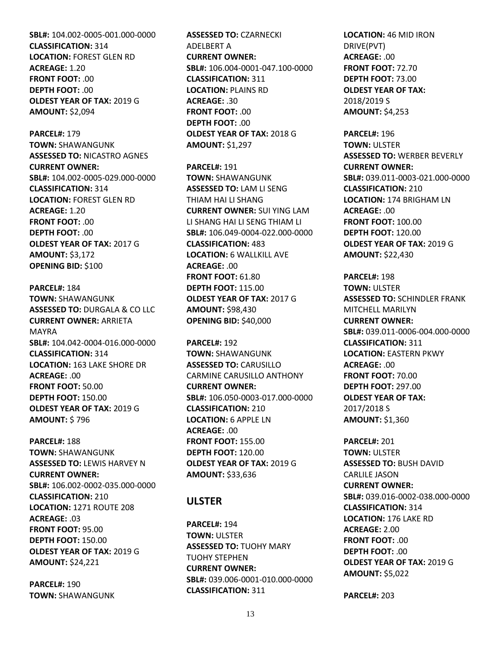**SBL#:** 104.002-0005-001.000-0000 **CLASSIFICATION:** 314 **LOCATION:** FOREST GLEN RD **ACREAGE:** 1.20 **FRONT FOOT:** .00 **DEPTH FOOT:** .00 **OLDEST YEAR OF TAX:** 2019 G **AMOUNT:** \$2,094

**PARCEL#:** 179 **TOWN:** SHAWANGUNK **ASSESSED TO:** NICASTRO AGNES **CURRENT OWNER: SBL#:** 104.002-0005-029.000-0000 **CLASSIFICATION:** 314 **LOCATION:** FOREST GLEN RD **ACREAGE:** 1.20 **FRONT FOOT:** .00 **DEPTH FOOT:** .00 **OLDEST YEAR OF TAX:** 2017 G **AMOUNT:** \$3,172 **OPENING BID:** \$100

**PARCEL#:** 184 **TOWN:** SHAWANGUNK **ASSESSED TO:** DURGALA & CO LLC **CURRENT OWNER:** ARRIETA MAYRA **SBL#:** 104.042-0004-016.000-0000 **CLASSIFICATION:** 314 **LOCATION:** 163 LAKE SHORE DR **ACREAGE:** .00 **FRONT FOOT:** 50.00 **DEPTH FOOT:** 150.00 **OLDEST YEAR OF TAX:** 2019 G **AMOUNT:** \$ 796

**PARCEL#:** 188 **TOWN:** SHAWANGUNK **ASSESSED TO:** LEWIS HARVEY N **CURRENT OWNER: SBL#:** 106.002-0002-035.000-0000 **CLASSIFICATION:** 210 **LOCATION:** 1271 ROUTE 208 **ACREAGE:** .03 **FRONT FOOT:** 95.00 **DEPTH FOOT:** 150.00 **OLDEST YEAR OF TAX:** 2019 G **AMOUNT:** \$24,221

**PARCEL#:** 190 **TOWN:** SHAWANGUNK **ASSESSED TO:** CZARNECKI ADELBERT A **CURRENT OWNER: SBL#:** 106.004-0001-047.100-0000 **CLASSIFICATION:** 311 **LOCATION:** PLAINS RD **ACREAGE:** .30 **FRONT FOOT:** .00 **DEPTH FOOT:** .00 **OLDEST YEAR OF TAX:** 2018 G **AMOUNT:** \$1,297

**PARCEL#:** 191 **TOWN:** SHAWANGUNK **ASSESSED TO:** LAM LI SENG THIAM HAI LI SHANG **CURRENT OWNER:** SUI YING LAM LI SHANG HAI LI SENG THIAM LI **SBL#:** 106.049-0004-022.000-0000 **CLASSIFICATION:** 483 **LOCATION:** 6 WALLKILL AVE **ACREAGE:** .00 **FRONT FOOT:** 61.80 **DEPTH FOOT:** 115.00 **OLDEST YEAR OF TAX:** 2017 G **AMOUNT:** \$98,430 **OPENING BID:** \$40,000

**PARCEL#:** 192 **TOWN:** SHAWANGUNK **ASSESSED TO:** CARUSILLO CARMINE CARUSILLO ANTHONY **CURRENT OWNER: SBL#:** 106.050-0003-017.000-0000 **CLASSIFICATION:** 210 **LOCATION:** 6 APPLE LN **ACREAGE:** .00 **FRONT FOOT:** 155.00 **DEPTH FOOT:** 120.00 **OLDEST YEAR OF TAX:** 2019 G **AMOUNT:** \$33,636

## **ULSTER**

**PARCEL#:** 194 **TOWN:** ULSTER **ASSESSED TO:** TUOHY MARY TUOHY STEPHEN **CURRENT OWNER: SBL#:** 039.006-0001-010.000-0000 **CLASSIFICATION:** 311

**LOCATION:** 46 MID IRON DRIVE(PVT) **ACREAGE:** .00 **FRONT FOOT:** 72.70 **DEPTH FOOT:** 73.00 **OLDEST YEAR OF TAX:** 2018/2019 S **AMOUNT:** \$4,253

**PARCEL#:** 196 **TOWN:** ULSTER **ASSESSED TO:** WERBER BEVERLY **CURRENT OWNER: SBL#:** 039.011-0003-021.000-0000 **CLASSIFICATION:** 210 **LOCATION:** 174 BRIGHAM LN **ACREAGE:** .00 **FRONT FOOT:** 100.00 **DEPTH FOOT:** 120.00 **OLDEST YEAR OF TAX:** 2019 G **AMOUNT:** \$22,430

**PARCEL#:** 198 **TOWN:** ULSTER **ASSESSED TO:** SCHINDLER FRANK MITCHELL MARILYN **CURRENT OWNER: SBL#:** 039.011-0006-004.000-0000 **CLASSIFICATION:** 311 **LOCATION:** EASTERN PKWY **ACREAGE:** .00 **FRONT FOOT:** 70.00 **DEPTH FOOT:** 297.00 **OLDEST YEAR OF TAX:** 2017/2018 S **AMOUNT:** \$1,360

**PARCEL#:** 201 **TOWN:** ULSTER **ASSESSED TO:** BUSH DAVID CARLILE JASON **CURRENT OWNER: SBL#:** 039.016-0002-038.000-0000 **CLASSIFICATION:** 314 **LOCATION:** 176 LAKE RD **ACREAGE:** 2.00 **FRONT FOOT:** .00 **DEPTH FOOT:** .00 **OLDEST YEAR OF TAX:** 2019 G **AMOUNT:** \$5,022

**PARCEL#:** 203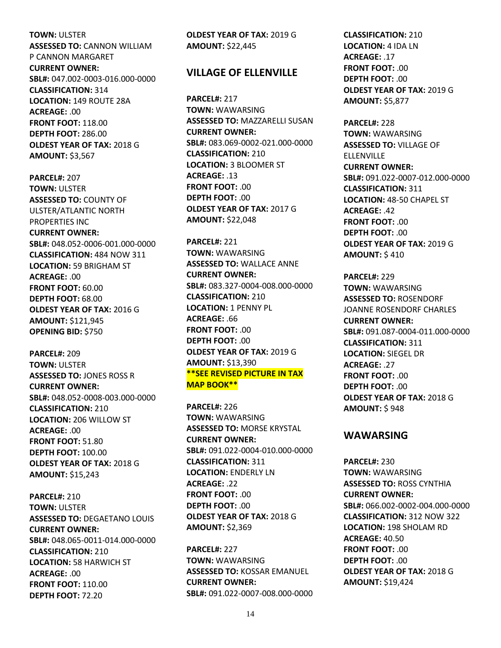**TOWN:** ULSTER **ASSESSED TO:** CANNON WILLIAM P CANNON MARGARET **CURRENT OWNER: SBL#:** 047.002-0003-016.000-0000 **CLASSIFICATION:** 314 **LOCATION:** 149 ROUTE 28A **ACREAGE:** .00 **FRONT FOOT:** 118.00 **DEPTH FOOT:** 286.00 **OLDEST YEAR OF TAX:** 2018 G **AMOUNT:** \$3,567

**PARCEL#:** 207 **TOWN:** ULSTER **ASSESSED TO:** COUNTY OF ULSTER/ATLANTIC NORTH PROPERTIES INC **CURRENT OWNER: SBL#:** 048.052-0006-001.000-0000 **CLASSIFICATION:** 484 NOW 311 **LOCATION:** 59 BRIGHAM ST **ACREAGE:** .00 **FRONT FOOT:** 60.00 **DEPTH FOOT:** 68.00 **OLDEST YEAR OF TAX:** 2016 G **AMOUNT:** \$121,945 **OPENING BID:** \$750

**PARCEL#:** 209 **TOWN:** ULSTER **ASSESSED TO:** JONES ROSS R **CURRENT OWNER: SBL#:** 048.052-0008-003.000-0000 **CLASSIFICATION:** 210 **LOCATION:** 206 WILLOW ST **ACREAGE:** .00 **FRONT FOOT:** 51.80 **DEPTH FOOT:** 100.00 **OLDEST YEAR OF TAX:** 2018 G **AMOUNT:** \$15,243

**PARCEL#:** 210 **TOWN:** ULSTER **ASSESSED TO:** DEGAETANO LOUIS **CURRENT OWNER: SBL#:** 048.065-0011-014.000-0000 **CLASSIFICATION:** 210 **LOCATION:** 58 HARWICH ST **ACREAGE:** .00 **FRONT FOOT:** 110.00 **DEPTH FOOT:** 72.20

**OLDEST YEAR OF TAX:** 2019 G **AMOUNT:** \$22,445

#### **VILLAGE OF ELLENVILLE**

**PARCEL#:** 217 **TOWN:** WAWARSING **ASSESSED TO:** MAZZARELLI SUSAN **CURRENT OWNER: SBL#:** 083.069-0002-021.000-0000 **CLASSIFICATION:** 210 **LOCATION:** 3 BLOOMER ST **ACREAGE:** .13 **FRONT FOOT:** .00 **DEPTH FOOT:** .00 **OLDEST YEAR OF TAX:** 2017 G **AMOUNT:** \$22,048

**PARCEL#:** 221 **TOWN:** WAWARSING **ASSESSED TO:** WALLACE ANNE **CURRENT OWNER: SBL#:** 083.327-0004-008.000-0000 **CLASSIFICATION:** 210 **LOCATION:** 1 PENNY PL **ACREAGE:** .66 **FRONT FOOT:** .00 **DEPTH FOOT:** .00 **OLDEST YEAR OF TAX:** 2019 G **AMOUNT:** \$13,390 **\*\*SEE REVISED PICTURE IN TAX MAP BOOK\*\***

**PARCEL#:** 226 **TOWN:** WAWARSING **ASSESSED TO:** MORSE KRYSTAL **CURRENT OWNER: SBL#:** 091.022-0004-010.000-0000 **CLASSIFICATION:** 311 **LOCATION:** ENDERLY LN **ACREAGE:** .22 **FRONT FOOT:** .00 **DEPTH FOOT:** .00 **OLDEST YEAR OF TAX:** 2018 G **AMOUNT:** \$2,369

**PARCEL#:** 227 **TOWN:** WAWARSING **ASSESSED TO:** KOSSAR EMANUEL **CURRENT OWNER: SBL#:** 091.022-0007-008.000-0000 **CLASSIFICATION:** 210 **LOCATION:** 4 IDA LN **ACREAGE:** .17 **FRONT FOOT:** .00 **DEPTH FOOT:** .00 **OLDEST YEAR OF TAX:** 2019 G **AMOUNT:** \$5,877

**PARCEL#:** 228 **TOWN:** WAWARSING **ASSESSED TO:** VILLAGE OF **ELLENVILLE CURRENT OWNER: SBL#:** 091.022-0007-012.000-0000 **CLASSIFICATION:** 311 **LOCATION:** 48-50 CHAPEL ST **ACREAGE:** .42 **FRONT FOOT:** .00 **DEPTH FOOT:** .00 **OLDEST YEAR OF TAX:** 2019 G **AMOUNT:** \$ 410

**PARCEL#:** 229 **TOWN:** WAWARSING **ASSESSED TO:** ROSENDORF JOANNE ROSENDORF CHARLES **CURRENT OWNER: SBL#:** 091.087-0004-011.000-0000 **CLASSIFICATION:** 311 **LOCATION:** SIEGEL DR **ACREAGE:** .27 **FRONT FOOT:** .00 **DEPTH FOOT:** .00 **OLDEST YEAR OF TAX:** 2018 G **AMOUNT:** \$ 948

#### **WAWARSING**

**PARCEL#:** 230 **TOWN:** WAWARSING **ASSESSED TO:** ROSS CYNTHIA **CURRENT OWNER: SBL#:** 066.002-0002-004.000-0000 **CLASSIFICATION:** 312 NOW 322 **LOCATION:** 198 SHOLAM RD **ACREAGE:** 40.50 **FRONT FOOT:** .00 **DEPTH FOOT:** .00 **OLDEST YEAR OF TAX:** 2018 G **AMOUNT:** \$19,424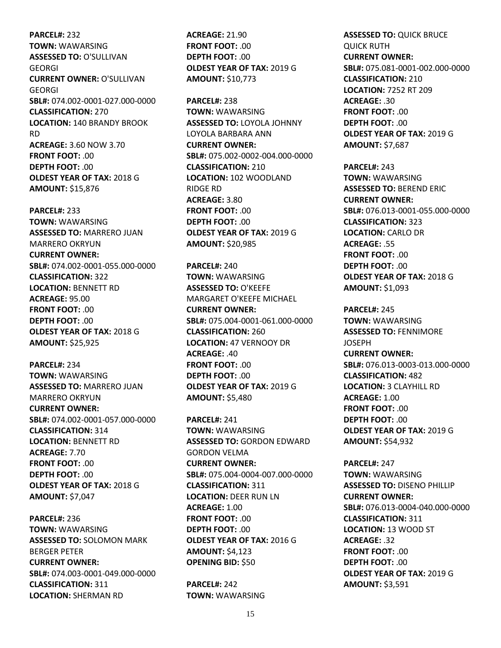**PARCEL#:** 232 **TOWN:** WAWARSING **ASSESSED TO:** O'SULLIVAN GEORGI **CURRENT OWNER:** O'SULLIVAN GEORGI **SBL#:** 074.002-0001-027.000-0000 **CLASSIFICATION:** 270 **LOCATION:** 140 BRANDY BROOK RD **ACREAGE:** 3.60 NOW 3.70 **FRONT FOOT:** .00 **DEPTH FOOT:** .00 **OLDEST YEAR OF TAX:** 2018 G **AMOUNT:** \$15,876

**PARCEL#:** 233 **TOWN:** WAWARSING **ASSESSED TO:** MARRERO JUAN MARRERO OKRYUN **CURRENT OWNER: SBL#:** 074.002-0001-055.000-0000 **CLASSIFICATION:** 322 **LOCATION:** BENNETT RD **ACREAGE:** 95.00 **FRONT FOOT:** .00 **DEPTH FOOT:** .00 **OLDEST YEAR OF TAX:** 2018 G **AMOUNT:** \$25,925

**PARCEL#:** 234 **TOWN:** WAWARSING **ASSESSED TO:** MARRERO JUAN MARRERO OKRYUN **CURRENT OWNER: SBL#:** 074.002-0001-057.000-0000 **CLASSIFICATION:** 314 **LOCATION:** BENNETT RD **ACREAGE:** 7.70 **FRONT FOOT:** .00 **DEPTH FOOT:** .00 **OLDEST YEAR OF TAX:** 2018 G **AMOUNT:** \$7,047

**PARCEL#:** 236 **TOWN:** WAWARSING **ASSESSED TO:** SOLOMON MARK BERGER PETER **CURRENT OWNER: SBL#:** 074.003-0001-049.000-0000 **CLASSIFICATION:** 311 **LOCATION:** SHERMAN RD

**ACREAGE:** 21.90 **FRONT FOOT:** .00 **DEPTH FOOT:** .00 **OLDEST YEAR OF TAX:** 2019 G **AMOUNT:** \$10,773

**PARCEL#:** 238 **TOWN:** WAWARSING **ASSESSED TO:** LOYOLA JOHNNY LOYOLA BARBARA ANN **CURRENT OWNER: SBL#:** 075.002-0002-004.000-0000 **CLASSIFICATION:** 210 **LOCATION:** 102 WOODLAND RIDGE RD **ACREAGE:** 3.80 **FRONT FOOT:** .00 **DEPTH FOOT:** .00 **OLDEST YEAR OF TAX:** 2019 G **AMOUNT:** \$20,985

**PARCEL#:** 240 **TOWN:** WAWARSING **ASSESSED TO:** O'KEEFE MARGARET O'KEEFE MICHAEL **CURRENT OWNER: SBL#:** 075.004-0001-061.000-0000 **CLASSIFICATION:** 260 **LOCATION:** 47 VERNOOY DR **ACREAGE:** .40 **FRONT FOOT:** .00 **DEPTH FOOT:** .00 **OLDEST YEAR OF TAX:** 2019 G **AMOUNT:** \$5,480

**PARCEL#:** 241 **TOWN:** WAWARSING **ASSESSED TO:** GORDON EDWARD GORDON VELMA **CURRENT OWNER: SBL#:** 075.004-0004-007.000-0000 **CLASSIFICATION:** 311 **LOCATION:** DEER RUN LN **ACREAGE:** 1.00 **FRONT FOOT:** .00 **DEPTH FOOT:** .00 **OLDEST YEAR OF TAX:** 2016 G **AMOUNT:** \$4,123 **OPENING BID:** \$50

**PARCEL#:** 242 **TOWN:** WAWARSING **ASSESSED TO:** QUICK BRUCE QUICK RUTH **CURRENT OWNER: SBL#:** 075.081-0001-002.000-0000 **CLASSIFICATION:** 210 **LOCATION:** 7252 RT 209 **ACREAGE:** .30 **FRONT FOOT:** .00 **DEPTH FOOT:** .00 **OLDEST YEAR OF TAX:** 2019 G **AMOUNT:** \$7,687

**PARCEL#:** 243 **TOWN:** WAWARSING **ASSESSED TO:** BEREND ERIC **CURRENT OWNER: SBL#:** 076.013-0001-055.000-0000 **CLASSIFICATION:** 323 **LOCATION:** CARLO DR **ACREAGE:** .55 **FRONT FOOT:** .00 **DEPTH FOOT:** .00 **OLDEST YEAR OF TAX:** 2018 G **AMOUNT:** \$1,093

**PARCEL#:** 245 **TOWN:** WAWARSING **ASSESSED TO:** FENNIMORE **JOSEPH CURRENT OWNER: SBL#:** 076.013-0003-013.000-0000 **CLASSIFICATION:** 482 **LOCATION:** 3 CLAYHILL RD **ACREAGE:** 1.00 **FRONT FOOT:** .00 **DEPTH FOOT:** .00 **OLDEST YEAR OF TAX:** 2019 G **AMOUNT:** \$54,932

**PARCEL#:** 247 **TOWN:** WAWARSING **ASSESSED TO:** DISENO PHILLIP **CURRENT OWNER: SBL#:** 076.013-0004-040.000-0000 **CLASSIFICATION:** 311 **LOCATION:** 13 WOOD ST **ACREAGE:** .32 **FRONT FOOT:** .00 **DEPTH FOOT: 00 OLDEST YEAR OF TAX:** 2019 G **AMOUNT:** \$3,591